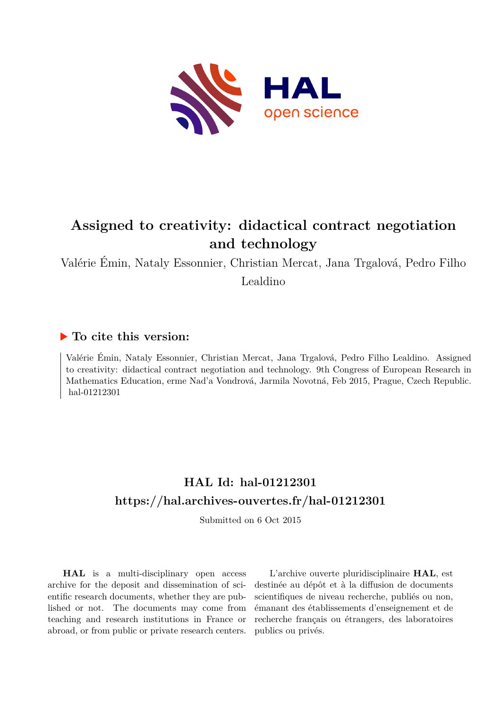

# **Assigned to creativity: didactical contract negotiation and technology**

Valérie Émin, Nataly Essonnier, Christian Mercat, Jana Trgalová, Pedro Filho Lealdino

#### **To cite this version:**

Valérie Émin, Nataly Essonnier, Christian Mercat, Jana Trgalová, Pedro Filho Lealdino. Assigned to creativity: didactical contract negotiation and technology. 9th Congress of European Research in Mathematics Education, erme Nad'a Vondrová, Jarmila Novotná, Feb 2015, Prague, Czech Republic. hal-01212301

# **HAL Id: hal-01212301 <https://hal.archives-ouvertes.fr/hal-01212301>**

Submitted on 6 Oct 2015

**HAL** is a multi-disciplinary open access archive for the deposit and dissemination of scientific research documents, whether they are published or not. The documents may come from teaching and research institutions in France or abroad, or from public or private research centers.

L'archive ouverte pluridisciplinaire **HAL**, est destinée au dépôt et à la diffusion de documents scientifiques de niveau recherche, publiés ou non, émanant des établissements d'enseignement et de recherche français ou étrangers, des laboratoires publics ou privés.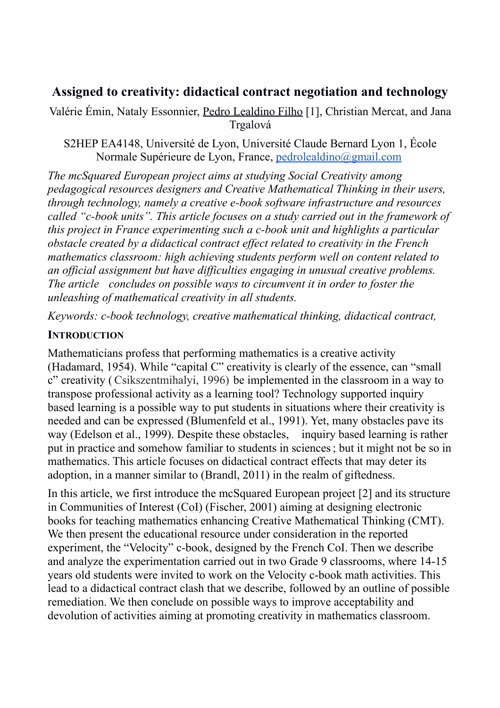# **Assigned to creativity: didactical contract negotiation and technology**

Valérie Émin, Nataly Essonnier, Pedro Lealdino Filho [1], Christian Mercat, and Jana Trgalová

S2HEP EA4148, Université de Lyon, Université Claude Bernard Lyon 1, École Normale Supérieure de Lyon, France, [pedrolealdino@gmail.com](mailto:pedrolealdino@gmail.com)

*The mcSquared European project aims at studying Social Creativity among pedagogical resources designers and Creative Mathematical Thinking in their users, through technology, namely a creative e-book software infrastructure and resources called "c-book units". This article focuses on a study carried out in the framework of this project in France experimenting such a c-book unit and highlights a particular obstacle created by a didactical contract effect related to creativity in the French mathematics classroom: high achieving students perform well on content related to an official assignment but have difficulties engaging in unusual creative problems. The article concludes on possible ways to circumvent it in order to foster the unleashing of mathematical creativity in all students.*

*Keywords: c-book technology, creative mathematical thinking, didactical contract,* 

## **INTRODUCTION**

Mathematicians profess that performing mathematics is a creative activity (Hadamard, 1954). While "capital C" creativity is clearly of the essence, can "small c" creativity ( Csikszentmihalyi, 1996) be implemented in the classroom in a way to transpose professional activity as a learning tool? Technology supported inquiry based learning is a possible way to put students in situations where their creativity is needed and can be expressed (Blumenfeld et al., 1991). Yet, many obstacles pave its way (Edelson et al., 1999). Despite these obstacles, inquiry based learning is rather put in practice and somehow familiar to students in sciences; but it might not be so in mathematics. This article focuses on didactical contract effects that may deter its adoption, in a manner similar to (Brandl, 2011) in the realm of giftedness.

In this article, we first introduce the mcSquared European project [2] and its structure in Communities of Interest (CoI) (Fischer, 2001) aiming at designing electronic books for teaching mathematics enhancing Creative Mathematical Thinking (CMT). We then present the educational resource under consideration in the reported experiment, the "Velocity" c-book, designed by the French CoI. Then we describe and analyze the experimentation carried out in two Grade 9 classrooms, where 14-15 years old students were invited to work on the Velocity c-book math activities. This lead to a didactical contract clash that we describe, followed by an outline of possible remediation. We then conclude on possible ways to improve acceptability and devolution of activities aiming at promoting creativity in mathematics classroom.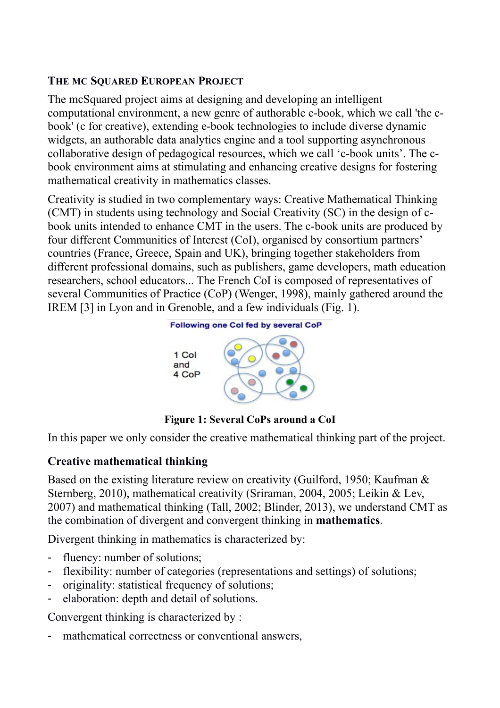## **THE MC SQUARED EUROPEAN PROJECT**

The mcSquared project aims at designing and developing an intelligent computational environment, a new genre of authorable e-book, which we call 'the cbook' (c for creative), extending e-book technologies to include diverse dynamic widgets, an authorable data analytics engine and a tool supporting asynchronous collaborative design of pedagogical resources, which we call 'c-book units'. The cbook environment aims at stimulating and enhancing creative designs for fostering mathematical creativity in mathematics classes.

Creativity is studied in two complementary ways: Creative Mathematical Thinking (CMT) in students using technology and Social Creativity (SC) in the design of cbook units intended to enhance CMT in the users. The c-book units are produced by four different Communities of Interest (CoI), organised by consortium partners' countries (France, Greece, Spain and UK), bringing together stakeholders from different professional domains, such as publishers, game developers, math education researchers, school educators... The French CoI is composed of representatives of several Communities of Practice (CoP) (Wenger, 1998), mainly gathered around the IREM [3] in Lyon and in Grenoble, and a few individuals (Fig. 1).



**Figure 1: Several CoPs around a CoI**

In this paper we only consider the creative mathematical thinking part of the project.

# **Creative mathematical thinking**

Based on the existing literature review on creativity (Guilford, 1950; Kaufman & Sternberg, 2010), mathematical creativity (Sriraman, 2004, 2005; Leikin & Lev, 2007) and mathematical thinking (Tall, 2002; Blinder, 2013), we understand CMT as the combination of divergent and convergent thinking in **mathematics**.

Divergent thinking in mathematics is characterized by:

- fluency: number of solutions;
- flexibility: number of categories (representations and settings) of solutions;
- originality: statistical frequency of solutions;
- elaboration: depth and detail of solutions.

Convergent thinking is characterized by :

mathematical correctness or conventional answers,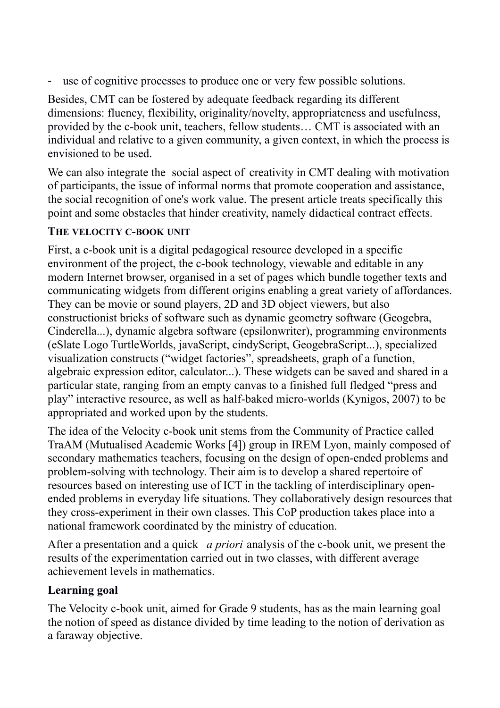- use of cognitive processes to produce one or very few possible solutions.

Besides, CMT can be fostered by adequate feedback regarding its different dimensions: fluency, flexibility, originality/novelty, appropriateness and usefulness, provided by the c-book unit, teachers, fellow students… CMT is associated with an individual and relative to a given community, a given context, in which the process is envisioned to be used.

We can also integrate the social aspect of creativity in CMT dealing with motivation of participants, the issue of informal norms that promote cooperation and assistance, the social recognition of one's work value. The present article treats specifically this point and some obstacles that hinder creativity, namely didactical contract effects.

# **THE VELOCITY C-BOOK UNIT**

First, a c-book unit is a digital pedagogical resource developed in a specific environment of the project, the c-book technology, viewable and editable in any modern Internet browser, organised in a set of pages which bundle together texts and communicating widgets from different origins enabling a great variety of affordances. They can be movie or sound players, 2D and 3D object viewers, but also constructionist bricks of software such as dynamic geometry software (Geogebra, Cinderella...), dynamic algebra software (epsilonwriter), programming environments (eSlate Logo TurtleWorlds, javaScript, cindyScript, GeogebraScript...), specialized visualization constructs ("widget factories", spreadsheets, graph of a function, algebraic expression editor, calculator...). These widgets can be saved and shared in a particular state, ranging from an empty canvas to a finished full fledged "press and play" interactive resource, as well as half-baked micro-worlds (Kynigos, 2007) to be appropriated and worked upon by the students.

The idea of the Velocity c-book unit stems from the Community of Practice called TraAM (Mutualised Academic Works [4]) group in IREM Lyon, mainly composed of secondary mathematics teachers, focusing on the design of open-ended problems and problem-solving with technology. Their aim is to develop a shared repertoire of resources based on interesting use of ICT in the tackling of interdisciplinary openended problems in everyday life situations. They collaboratively design resources that they cross-experiment in their own classes. This CoP production takes place into a national framework coordinated by the ministry of education.

After a presentation and a quick *a priori* analysis of the c-book unit, we present the results of the experimentation carried out in two classes, with different average achievement levels in mathematics.

## **Learning goal**

The Velocity c-book unit, aimed for Grade 9 students, has as the main learning goal the notion of speed as distance divided by time leading to the notion of derivation as a faraway objective.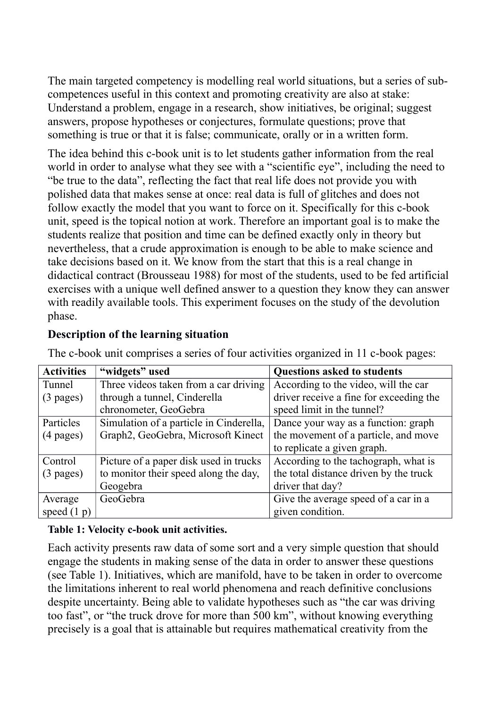The main targeted competency is modelling real world situations, but a series of subcompetences useful in this context and promoting creativity are also at stake: Understand a problem, engage in a research, show initiatives, be original; suggest answers, propose hypotheses or conjectures, formulate questions; prove that something is true or that it is false; communicate, orally or in a written form.

The idea behind this c-book unit is to let students gather information from the real world in order to analyse what they see with a "scientific eye", including the need to "be true to the data", reflecting the fact that real life does not provide you with polished data that makes sense at once: real data is full of glitches and does not follow exactly the model that you want to force on it. Specifically for this c-book unit, speed is the topical notion at work. Therefore an important goal is to make the students realize that position and time can be defined exactly only in theory but nevertheless, that a crude approximation is enough to be able to make science and take decisions based on it. We know from the start that this is a real change in didactical contract (Brousseau 1988) for most of the students, used to be fed artificial exercises with a unique well defined answer to a question they know they can answer with readily available tools. This experiment focuses on the study of the devolution phase.

### **Description of the learning situation**

| <b>Activities</b>   | "widgets" used                          | <b>Questions asked to students</b>      |
|---------------------|-----------------------------------------|-----------------------------------------|
| Tunnel              | Three videos taken from a car driving   | According to the video, will the car    |
| $(3 \text{ pages})$ | through a tunnel, Cinderella            | driver receive a fine for exceeding the |
|                     | chronometer, GeoGebra                   | speed limit in the tunnel?              |
| Particles           | Simulation of a particle in Cinderella, | Dance your way as a function: graph     |
| $(4 \text{ pages})$ | Graph2, GeoGebra, Microsoft Kinect      | the movement of a particle, and move    |
|                     |                                         | to replicate a given graph.             |
| Control             | Picture of a paper disk used in trucks  | According to the tachograph, what is    |
| $(3 \text{ pages})$ | to monitor their speed along the day,   | the total distance driven by the truck  |
|                     | Geogebra                                | driver that day?                        |
| Average             | GeoGebra                                | Give the average speed of a car in a    |
| speed $(1 p)$       |                                         | given condition.                        |

The c-book unit comprises a series of four activities organized in 11 c-book pages:

#### **Table 1: Velocity c-book unit activities.**

Each activity presents raw data of some sort and a very simple question that should engage the students in making sense of the data in order to answer these questions (see Table 1). Initiatives, which are manifold, have to be taken in order to overcome the limitations inherent to real world phenomena and reach definitive conclusions despite uncertainty. Being able to validate hypotheses such as "the car was driving too fast", or "the truck drove for more than 500 km", without knowing everything precisely is a goal that is attainable but requires mathematical creativity from the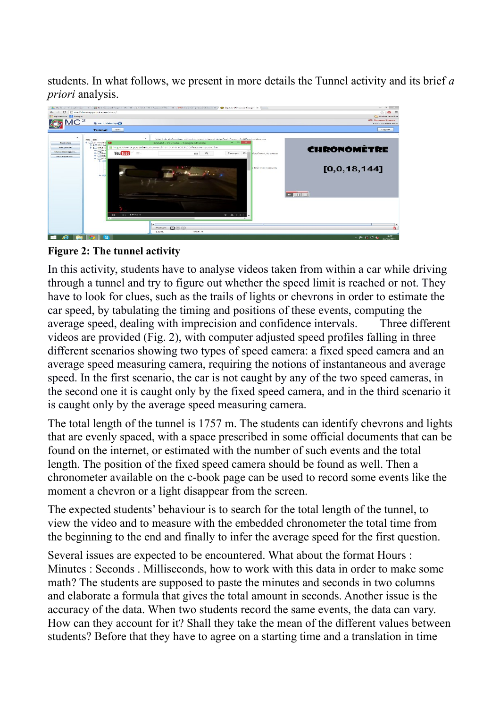students. In what follows, we present in more details the Tunnel activity and its brief *a priori* analysis.





In this activity, students have to analyse videos taken from within a car while driving through a tunnel and try to figure out whether the speed limit is reached or not. They have to look for clues, such as the trails of lights or chevrons in order to estimate the car speed, by tabulating the timing and positions of these events, computing the average speed, dealing with imprecision and confidence intervals. Three different videos are provided (Fig. 2), with computer adjusted speed profiles falling in three different scenarios showing two types of speed camera: a fixed speed camera and an average speed measuring camera, requiring the notions of instantaneous and average speed. In the first scenario, the car is not caught by any of the two speed cameras, in the second one it is caught only by the fixed speed camera, and in the third scenario it is caught only by the average speed measuring camera.

The total length of the tunnel is 1757 m. The students can identify chevrons and lights that are evenly spaced, with a space prescribed in some official documents that can be found on the internet, or estimated with the number of such events and the total length. The position of the fixed speed camera should be found as well. Then a chronometer available on the c-book page can be used to record some events like the moment a chevron or a light disappear from the screen.

The expected students' behaviour is to search for the total length of the tunnel, to view the video and to measure with the embedded chronometer the total time from the beginning to the end and finally to infer the average speed for the first question.

Several issues are expected to be encountered. What about the format Hours : Minutes : Seconds . Milliseconds, how to work with this data in order to make some math? The students are supposed to paste the minutes and seconds in two columns and elaborate a formula that gives the total amount in seconds. Another issue is the accuracy of the data. When two students record the same events, the data can vary. How can they account for it? Shall they take the mean of the different values between students? Before that they have to agree on a starting time and a translation in time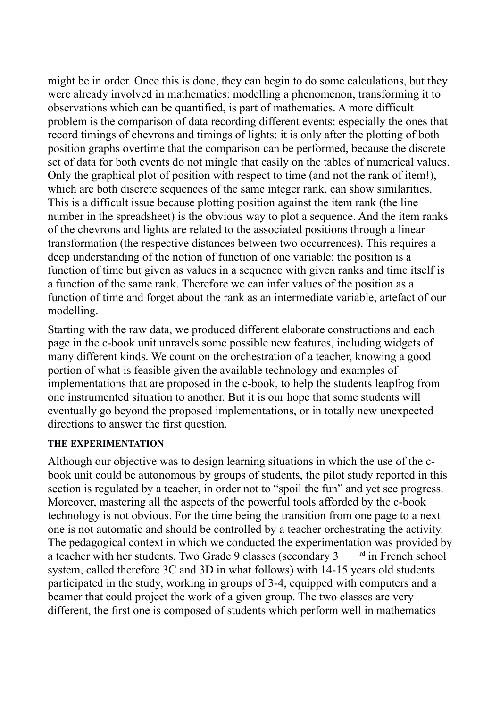might be in order. Once this is done, they can begin to do some calculations, but they were already involved in mathematics: modelling a phenomenon, transforming it to observations which can be quantified, is part of mathematics. A more difficult problem is the comparison of data recording different events: especially the ones that record timings of chevrons and timings of lights: it is only after the plotting of both position graphs overtime that the comparison can be performed, because the discrete set of data for both events do not mingle that easily on the tables of numerical values. Only the graphical plot of position with respect to time (and not the rank of item!), which are both discrete sequences of the same integer rank, can show similarities. This is a difficult issue because plotting position against the item rank (the line number in the spreadsheet) is the obvious way to plot a sequence. And the item ranks of the chevrons and lights are related to the associated positions through a linear transformation (the respective distances between two occurrences). This requires a deep understanding of the notion of function of one variable: the position is a function of time but given as values in a sequence with given ranks and time itself is a function of the same rank. Therefore we can infer values of the position as a function of time and forget about the rank as an intermediate variable, artefact of our modelling.

Starting with the raw data, we produced different elaborate constructions and each page in the c-book unit unravels some possible new features, including widgets of many different kinds. We count on the orchestration of a teacher, knowing a good portion of what is feasible given the available technology and examples of implementations that are proposed in the c-book, to help the students leapfrog from one instrumented situation to another. But it is our hope that some students will eventually go beyond the proposed implementations, or in totally new unexpected directions to answer the first question.

#### **THE EXPERIMENTATION**

Although our objective was to design learning situations in which the use of the cbook unit could be autonomous by groups of students, the pilot study reported in this section is regulated by a teacher, in order not to "spoil the fun" and yet see progress. Moreover, mastering all the aspects of the powerful tools afforded by the c-book technology is not obvious. For the time being the transition from one page to a next one is not automatic and should be controlled by a teacher orchestrating the activity. The pedagogical context in which we conducted the experimentation was provided by a teacher with her students. Two Grade 9 classes (secondary  $3$ <sup>rd</sup> in French school system, called therefore 3C and 3D in what follows) with 14-15 years old students participated in the study, working in groups of 3-4, equipped with computers and a beamer that could project the work of a given group. The two classes are very different, the first one is composed of students which perform well in mathematics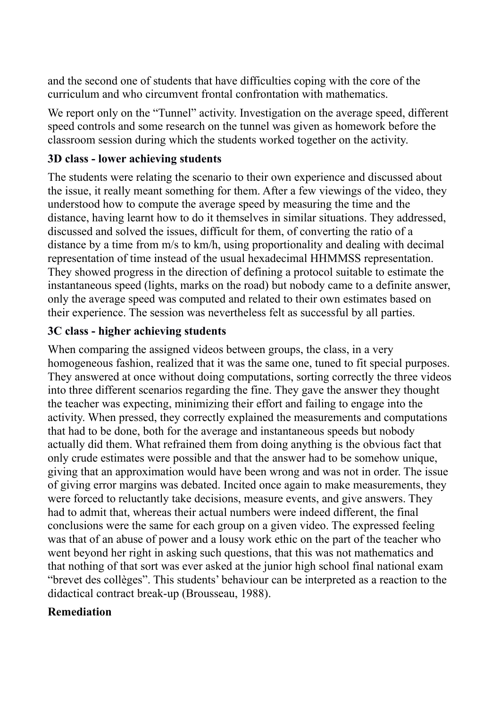and the second one of students that have difficulties coping with the core of the curriculum and who circumvent frontal confrontation with mathematics.

We report only on the "Tunnel" activity. Investigation on the average speed, different speed controls and some research on the tunnel was given as homework before the classroom session during which the students worked together on the activity.

## **3D class - lower achieving students**

The students were relating the scenario to their own experience and discussed about the issue, it really meant something for them. After a few viewings of the video, they understood how to compute the average speed by measuring the time and the distance, having learnt how to do it themselves in similar situations. They addressed, discussed and solved the issues, difficult for them, of converting the ratio of a distance by a time from m/s to km/h, using proportionality and dealing with decimal representation of time instead of the usual hexadecimal HHMMSS representation. They showed progress in the direction of defining a protocol suitable to estimate the instantaneous speed (lights, marks on the road) but nobody came to a definite answer, only the average speed was computed and related to their own estimates based on their experience. The session was nevertheless felt as successful by all parties.

# **3C class - higher achieving students**

When comparing the assigned videos between groups, the class, in a very homogeneous fashion, realized that it was the same one, tuned to fit special purposes. They answered at once without doing computations, sorting correctly the three videos into three different scenarios regarding the fine. They gave the answer they thought the teacher was expecting, minimizing their effort and failing to engage into the activity. When pressed, they correctly explained the measurements and computations that had to be done, both for the average and instantaneous speeds but nobody actually did them. What refrained them from doing anything is the obvious fact that only crude estimates were possible and that the answer had to be somehow unique, giving that an approximation would have been wrong and was not in order. The issue of giving error margins was debated. Incited once again to make measurements, they were forced to reluctantly take decisions, measure events, and give answers. They had to admit that, whereas their actual numbers were indeed different, the final conclusions were the same for each group on a given video. The expressed feeling was that of an abuse of power and a lousy work ethic on the part of the teacher who went beyond her right in asking such questions, that this was not mathematics and that nothing of that sort was ever asked at the junior high school final national exam "brevet des collèges". This students' behaviour can be interpreted as a reaction to the didactical contract break-up (Brousseau, 1988).

## **Remediation**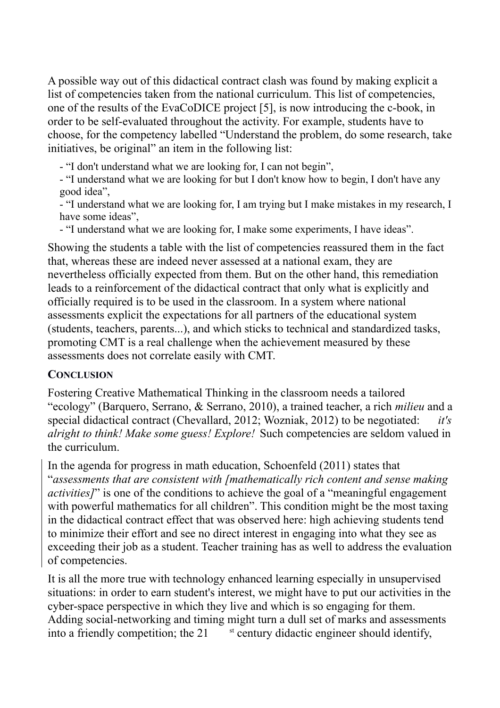A possible way out of this didactical contract clash was found by making explicit a list of competencies taken from the national curriculum. This list of competencies, one of the results of the EvaCoDICE project [5], is now introducing the c-book, in order to be self-evaluated throughout the activity. For example, students have to choose, for the competency labelled "Understand the problem, do some research, take initiatives, be original" an item in the following list:

- "I don't understand what we are looking for, I can not begin",

- "I understand what we are looking for but I don't know how to begin, I don't have any good idea",

- "I understand what we are looking for, I am trying but I make mistakes in my research, I have some ideas",

- "I understand what we are looking for, I make some experiments, I have ideas".

Showing the students a table with the list of competencies reassured them in the fact that, whereas these are indeed never assessed at a national exam, they are nevertheless officially expected from them. But on the other hand, this remediation leads to a reinforcement of the didactical contract that only what is explicitly and officially required is to be used in the classroom. In a system where national assessments explicit the expectations for all partners of the educational system (students, teachers, parents...), and which sticks to technical and standardized tasks, promoting CMT is a real challenge when the achievement measured by these assessments does not correlate easily with CMT.

#### **CONCLUSION**

Fostering Creative Mathematical Thinking in the classroom needs a tailored "ecology" (Barquero, Serrano, & Serrano, 2010), a trained teacher, a rich *milieu* and a special didactical contract (Chevallard, 2012; Wozniak, 2012) to be negotiated: *it's alright to think! Make some guess! Explore!* Such competencies are seldom valued in the curriculum.

In the agenda for progress in math education, Schoenfeld (2011) states that "*assessments that are consistent with [mathematically rich content and sense making activities]*" is one of the conditions to achieve the goal of a "meaningful engagement with powerful mathematics for all children". This condition might be the most taxing in the didactical contract effect that was observed here: high achieving students tend to minimize their effort and see no direct interest in engaging into what they see as exceeding their job as a student. Teacher training has as well to address the evaluation of competencies.

It is all the more true with technology enhanced learning especially in unsupervised situations: in order to earn student's interest, we might have to put our activities in the cyber-space perspective in which they live and which is so engaging for them. Adding social-networking and timing might turn a dull set of marks and assessments into a friendly competition; the 21  $\frac{1}{s}$  st century didactic engineer should identify,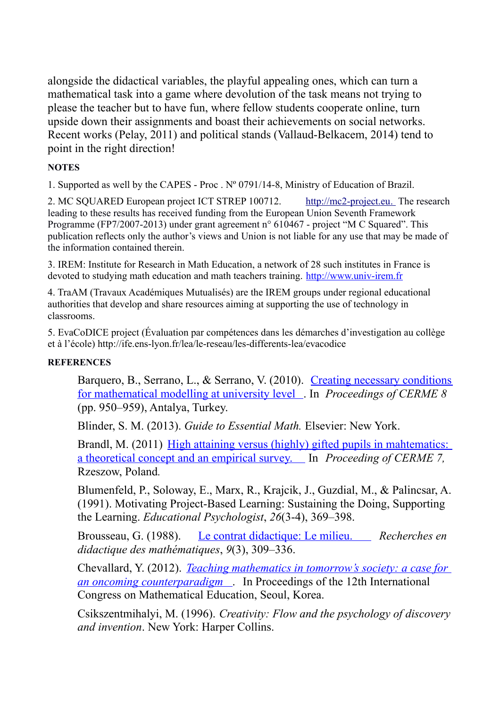alongside the didactical variables, the playful appealing ones, which can turn a mathematical task into a game where devolution of the task means not trying to please the teacher but to have fun, where fellow students cooperate online, turn upside down their assignments and boast their achievements on social networks. Recent works (Pelay, 2011) and political stands (Vallaud-Belkacem, 2014) tend to point in the right direction!

#### **NOTES**

1. Supported as well by the CAPES - Proc . Nº 0791/14-8, Ministry of Education of Brazil.

2. MC SQUARED European project ICT STREP 100712. [http://mc2-project.eu. T](http://mc2-project.eu/)he research leading to these results has received funding from the European Union Seventh Framework Programme (FP7/2007-2013) under grant agreement n° 610467 - project "M C Squared". This publication reflects only the author's views and Union is not liable for any use that may be made of the information contained therein.

3. IREM: Institute for Research in Math Education, a network of 28 such institutes in France is devoted to studying math education and math teachers training. [http://www.univ-irem.fr](http://www.univ-irem.fr/)

4. TraAM (Travaux Académiques Mutualisés) are the IREM groups under regional educational authorities that develop and share resources aiming at supporting the use of technology in classrooms.

5. EvaCoDICE project (Évaluation par compétences dans les démarches d'investigation au collège et à l'école) http://ife.ens-lyon.fr/lea/le-reseau/les-differents-lea/evacodice

#### **REFERENCES**

Barquero, B., Serrano, L., & Serrano, V. (2010). [Creating necessary conditions](http://cerme8.metu.edu.tr/wgpapers/WG6/WG6_Barquero.pdf) [for mathematical modelling at university level](http://cerme8.metu.edu.tr/wgpapers/WG6/WG6_Barquero.pdf) . In *Proceedings of CERME 8* (pp. 950–959), Antalya, Turkey.

Blinder, S. M. (2013). *Guide to Essential Math.* Elsevier: New York.

Brandl, M. (2011) [High attaining versus \(highly\) gifted pupils in mahtematics:](http://www.cerme7.univ.rzeszow.pl/WG/7/Brandl_Paper_CERME7_WG7.PDF) [a theoretical concept and an empirical survey.](http://www.cerme7.univ.rzeszow.pl/WG/7/Brandl_Paper_CERME7_WG7.PDF) In *Proceeding of CERME 7,* Rzeszow, Poland*.*

Blumenfeld, P., Soloway, E., Marx, R., Krajcik, J., Guzdial, M., & Palincsar, A. (1991). Motivating Project-Based Learning: Sustaining the Doing, Supporting the Learning. *Educational Psychologist*, *26*(3-4), 369–398.

Brousseau, G. (1988). [Le contrat didactique: Le milieu.](http://guy-brousseau.com/wp-content/uploads/2012/02/contrat-milieu1.pdf) *Recherches en didactique des mathématiques*, *9*(3), 309–336.

Chevallard, Y. (2012). *[Teaching mathematics in tomorrow's society: a case for](http://yves.chevallard.free.fr/spip/spip/IMG/pdf/RL_Chevallard.pdf) [an oncoming counterparadigm](http://yves.chevallard.free.fr/spip/spip/IMG/pdf/RL_Chevallard.pdf)* . In Proceedings of the 12th International Congress on Mathematical Education, Seoul, Korea.

Csikszentmihalyi, M. (1996). *Creativity: Flow and the psychology of discovery and invention*. New York: Harper Collins.